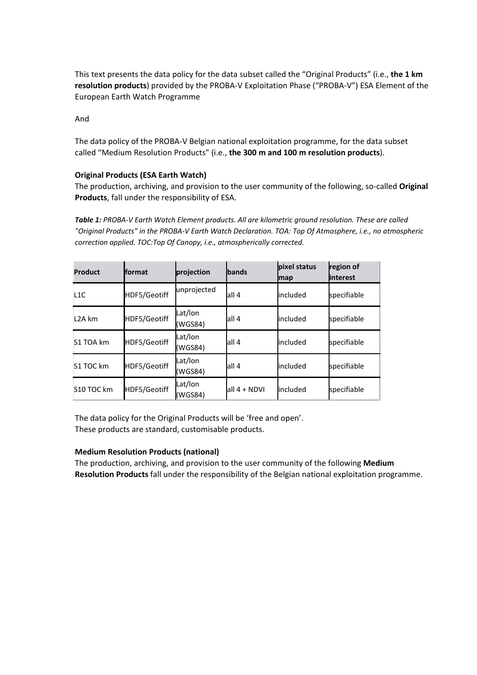This text presents the data policy for the data subset called the "Original Products" (i.e., **the 1 km resolution products**) provided by the PROBA‐V Exploitation Phase ("PROBA‐V") ESA Element of the European Earth Watch Programme

And

The data policy of the PROBA‐V Belgian national exploitation programme, for the data subset called "Medium Resolution Products" (i.e., **the 300 m and 100 m resolution products**).

## **Original Products (ESA Earth Watch)**

The production, archiving, and provision to the user community of the following, so‐called **Original Products**, fall under the responsibility of ESA.

*Table 1: PROBA‐V Earth Watch Element products. All are kilometric ground resolution. These are called "Original Products" in the PROBA‐V Earth Watch Declaration. TOA: Top Of Atmosphere, i.e., no atmospheric correction applied. TOC:Top Of Canopy, i.e., atmospherically corrected.*

| <b>Product</b>      | <b>fformat</b> | projection         | bands        | pixel status<br>map | region of<br>linterest |
|---------------------|----------------|--------------------|--------------|---------------------|------------------------|
| L1C                 | HDF5/Geotiff   | unprojected        | all 4        | lincluded           | specifiable            |
| L <sub>2</sub> A km | HDF5/Geotiff   | Lat/lon<br>(WGS84) | all 4        | included            | specifiable            |
| S1 TOA km           | HDF5/Geotiff   | Lat/lon<br>(WGS84) | lall 4       | lincluded           | specifiable            |
| S1 TOC km           | HDF5/Geotiff   | Lat/lon<br>(WGS84) | lall 4       | lincluded           | specifiable            |
| S10 TOC km          | HDF5/Geotiff   | Lat/lon<br>(WGS84) | all 4 + NDVI | <b>lincluded</b>    | specifiable            |

The data policy for the Original Products will be 'free and open'. These products are standard, customisable products.

## **Medium Resolution Products (national)**

The production, archiving, and provision to the user community of the following **Medium Resolution Products** fall under the responsibility of the Belgian national exploitation programme.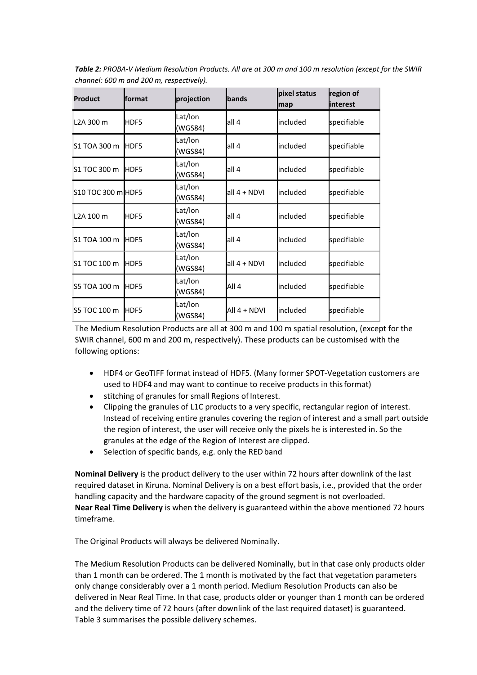| <b>Product</b>         | format | projection         | <b>bands</b> | pixel status<br>map | region of<br><b>linterest</b> |
|------------------------|--------|--------------------|--------------|---------------------|-------------------------------|
| L <sub>2</sub> A 300 m | HDF5   | Lat/lon<br>(WGS84) | all 4        | included            | specifiable                   |
| S1 TOA 300 m           | HDF5   | Lat/lon<br>(WGS84) | all 4        | included            | specifiable                   |
| S1 TOC 300 m           | HDF5   | Lat/lon<br>(WGS84) | all 4        | included            | specifiable                   |
| S10 TOC 300 m HDF5     |        | Lat/lon<br>(WGS84) | all 4 + NDVI | included            | specifiable                   |
| L <sub>2</sub> A 100 m | HDF5   | Lat/lon<br>(WGS84) | all 4        | included            | specifiable                   |
| S1 TOA 100 m           | HDF5   | Lat/lon<br>(WGS84) | all 4        | included            | specifiable                   |
| S1 TOC 100 m           | HDF5   | Lat/lon<br>(WGS84) | all 4 + NDVI | included            | specifiable                   |
| S5 TOA 100 m           | HDF5   | Lat/lon<br>(WGS84) | All 4        | included            | specifiable                   |
| S5 TOC 100 m           | HDF5   | Lat/lon<br>(WGS84) | All 4 + NDVI | included            | specifiable                   |

Table 2: PROBA-V Medium Resolution Products. All are at 300 m and 100 m resolution (except for the SWIR *channel: 600 m and 200 m, respectively).*

The Medium Resolution Products are all at 300 m and 100 m spatial resolution, (except for the SWIR channel, 600 m and 200 m, respectively). These products can be customised with the following options:

- HDF4 or GeoTIFF format instead of HDF5. (Many former SPOT‐Vegetation customers are used to HDF4 and may want to continue to receive products in thisformat)
- **•** stitching of granules for small Regions of Interest.
- Clipping the granules of L1C products to a very specific, rectangular region of interest. Instead of receiving entire granules covering the region of interest and a small part outside the region of interest, the user will receive only the pixels he is interested in. So the granules at the edge of the Region of Interest are clipped.
- Selection of specific bands, e.g. only the RED band

**Nominal Delivery** is the product delivery to the user within 72 hours after downlink of the last required dataset in Kiruna. Nominal Delivery is on a best effort basis, i.e., provided that the order handling capacity and the hardware capacity of the ground segment is not overloaded. **Near Real Time Delivery** is when the delivery is guaranteed within the above mentioned 72 hours timeframe.

The Original Products will always be delivered Nominally.

The Medium Resolution Products can be delivered Nominally, but in that case only products older than 1 month can be ordered. The 1 month is motivated by the fact that vegetation parameters only change considerably over a 1 month period. Medium Resolution Products can also be delivered in Near Real Time. In that case, products older or younger than 1 month can be ordered and the delivery time of 72 hours (after downlink of the last required dataset) is guaranteed. Table 3 summarises the possible delivery schemes.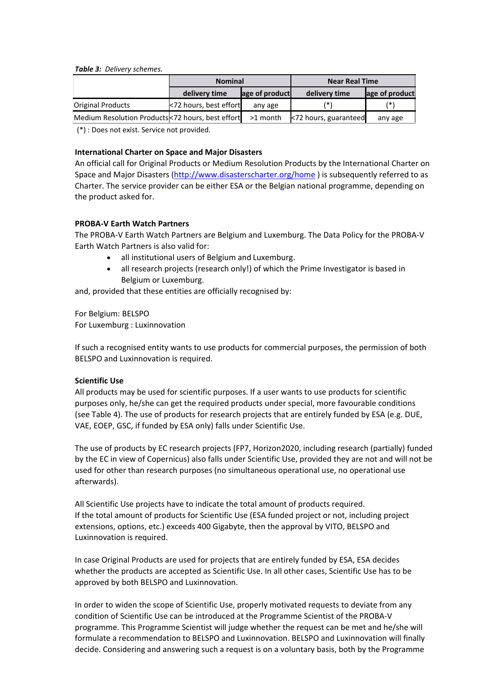#### *Table 3: Delivery schemes.*

|                          | <b>Nominal</b>               |                | <b>Near Real Time</b>       |                |  |
|--------------------------|------------------------------|----------------|-----------------------------|----------------|--|
|                          | delivery time                | age of product | delivery time               | age of product |  |
| <b>Original Products</b> | $\leq$ 72 hours, best effort | any age        | (* )                        |                |  |
|                          |                              |                | $\leq$ 72 hours, guaranteed | any age        |  |

(\*) : Does not exist. Service not provided.

#### **International Charter on Space and Major Disasters**

An official call for Original Products or Medium Resolution Products by the International Charter on Space and Major Disasters (http://www.disasterscharter.org/home ) is subsequently referred to as Charter. The service provider can be either ESA or the Belgian national programme, depending on the product asked for.

### **PROBA‐V Earth Watch Partners**

The PROBA‐V Earth Watch Partners are Belgium and Luxemburg. The Data Policy for the PROBA‐V Earth Watch Partners is also valid for:

- all institutional users of Belgium and Luxemburg.
- all research projects (research only!) of which the Prime Investigator is based in Belgium or Luxemburg.

and, provided that these entities are officially recognised by:

For Belgium: BELSPO For Luxemburg : Luxinnovation

If such a recognised entity wants to use products for commercial purposes, the permission of both BELSPO and Luxinnovation is required.

### **Scientific Use**

All products may be used for scientific purposes. If a user wants to use products for scientific purposes only, he/she can get the required products under special, more favourable conditions (see Table 4). The use of products for research projects that are entirely funded by ESA (e.g. DUE, VAE, EOEP, GSC, if funded by ESA only) falls under Scientific Use.

The use of products by EC research projects (FP7, Horizon2020, including research (partially) funded by the EC in view of Copernicus) also falls under Scientific Use, provided they are not and will not be used for other than research purposes (no simultaneous operational use, no operational use afterwards).

All Scientific Use projects have to indicate the total amount of products required. If the total amount of products for Scientific Use (ESA funded project or not, including project extensions, options, etc.) exceeds 400 Gigabyte, then the approval by VITO, BELSPO and Luxinnovation is required.

In case Original Products are used for projects that are entirely funded by ESA, ESA decides whether the products are accepted as Scientific Use. In all other cases, Scientific Use has to be approved by both BELSPO and Luxinnovation.

In order to widen the scope of Scientific Use, properly motivated requests to deviate from any condition of Scientific Use can be introduced at the Programme Scientist of the PROBA‐V programme. This Programme Scientist will judge whether the request can be met and he/she will formulate a recommendation to BELSPO and Luxinnovation. BELSPO and Luxinnovation will finally decide. Considering and answering such a request is on a voluntary basis, both by the Programme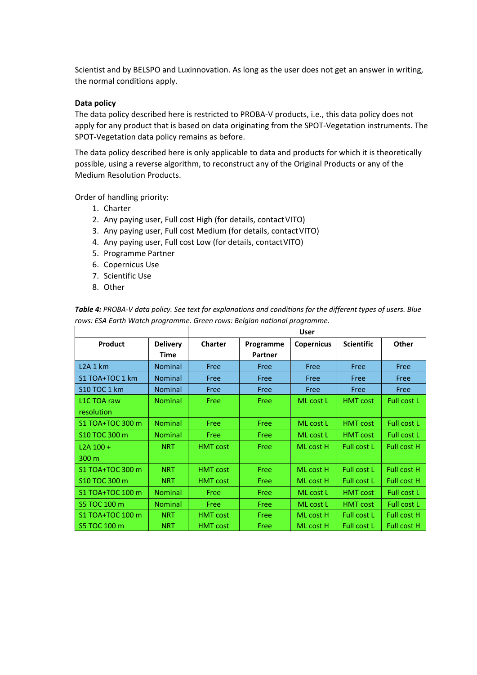Scientist and by BELSPO and Luxinnovation. As long as the user does not get an answer in writing, the normal conditions apply.

#### **Data policy**

The data policy described here is restricted to PROBA‐V products, i.e., this data policy does not apply for any product that is based on data originating from the SPOT‐Vegetation instruments. The SPOT‐Vegetation data policy remains as before.

The data policy described here is only applicable to data and products for which it is theoretically possible, using a reverse algorithm, to reconstruct any of the Original Products or any of the Medium Resolution Products.

Order of handling priority:

- 1. Charter
- 2. Any paying user, Full cost High (for details, contact VITO)
- 3. Any paying user, Full cost Medium (for details, contactVITO)
- 4. Any paying user, Full cost Low (for details, contactVITO)
- 5. Programme Partner
- 6. Copernicus Use
- 7. Scientific Use
- 8. Other

|                     |                 | <b>User</b>     |           |                   |                    |                    |
|---------------------|-----------------|-----------------|-----------|-------------------|--------------------|--------------------|
| <b>Product</b>      | <b>Delivery</b> | Charter         | Programme | <b>Copernicus</b> | <b>Scientific</b>  | <b>Other</b>       |
|                     | Time            |                 | Partner   |                   |                    |                    |
| L2A1km              | <b>Nominal</b>  | Free            | Free      | Free              | Free               | Free               |
| S1 TOA+TOC 1 km     | <b>Nominal</b>  | Free            | Free      | Free              | Free               | Free               |
| <b>S10 TOC 1 km</b> | <b>Nominal</b>  | Free            | Free      | Free              | Free               | Free               |
| L1C TOA raw         | <b>Nominal</b>  | Free            | Free      | ML cost L         | <b>HMT</b> cost    | Full cost L        |
| resolution          |                 |                 |           |                   |                    |                    |
| S1 TOA+TOC 300 m    | <b>Nominal</b>  | Free            | Free      | ML cost L         | <b>HMT</b> cost    | <b>Full cost L</b> |
| S10 TOC 300 m       | <b>Nominal</b>  | Free            | Free      | ML cost L         | <b>HMT</b> cost    | <b>Full cost L</b> |
| L2A 100 +           | <b>NRT</b>      | <b>HMT</b> cost | Free      | ML cost H         | Full cost L        | <b>Full cost H</b> |
| 300 m               |                 |                 |           |                   |                    |                    |
| S1 TOA+TOC 300 m    | <b>NRT</b>      | <b>HMT</b> cost | Free      | ML cost H         | Full cost L        | <b>Full cost H</b> |
| \$10 TOC 300 m      | <b>NRT</b>      | <b>HMT</b> cost | Free      | ML cost H         | Full cost L        | <b>Full cost H</b> |
| S1 TOA+TOC 100 m    | <b>Nominal</b>  | Free            | Free      | ML cost L         | <b>HMT</b> cost    | Full cost L        |
| S5 TOC 100 m        | <b>Nominal</b>  | Free            | Free      | ML cost L         | <b>HMT cost</b>    | Full cost L        |
| S1 TOA+TOC 100 m    | <b>NRT</b>      | <b>HMT cost</b> | Free      | ML cost H         | Full cost L        | <b>Full cost H</b> |
| S5 TOC 100 m        | <b>NRT</b>      | <b>HMT cost</b> | Free      | ML cost H         | <b>Full cost L</b> | Full cost H        |

Table 4: PROBA-V data policy. See text for explanations and conditions for the different types of users. Blue *rows: ESA Earth Watch programme. Green rows: Belgian national programme.*